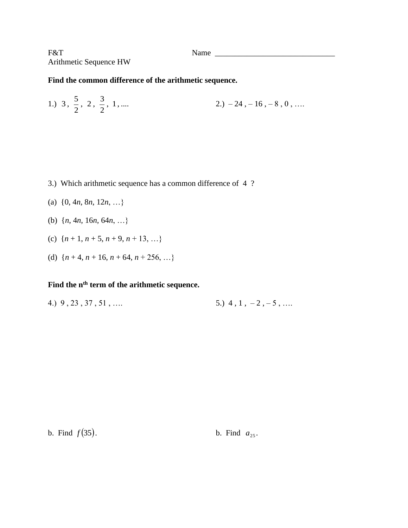F&T Name \_\_\_\_\_\_\_\_\_\_\_\_\_\_\_\_\_\_\_\_\_\_\_\_\_\_\_\_\_\_ Arithmetic Sequence HW

## **Find the common difference of the arithmetic sequence.**

1.) 3, 
$$
\frac{5}{2}
$$
, 2,  $\frac{3}{2}$ , 1, .... 2.) -24, -16, -8, 0, ....

- 3.) Which arithmetic sequence has a common difference of 4 ?
- (a) {0, 4*n*, 8*n*, 12*n*, …}
- (b) {*n*, 4*n*, 16*n*, 64*n*, …}
- (c)  $\{n+1, n+5, n+9, n+13, ...\}$
- (d)  $\{n+4, n+16, n+64, n+256, ...\}$

## **Find the nth term of the arithmetic sequence.**

4.)  $9, 23, 37, 51, \ldots$  5.)  $4, 1, -2, -5, \ldots$ 

b. Find  $f(35)$ .

*f* (35). b. Find  $a_{25}$ .